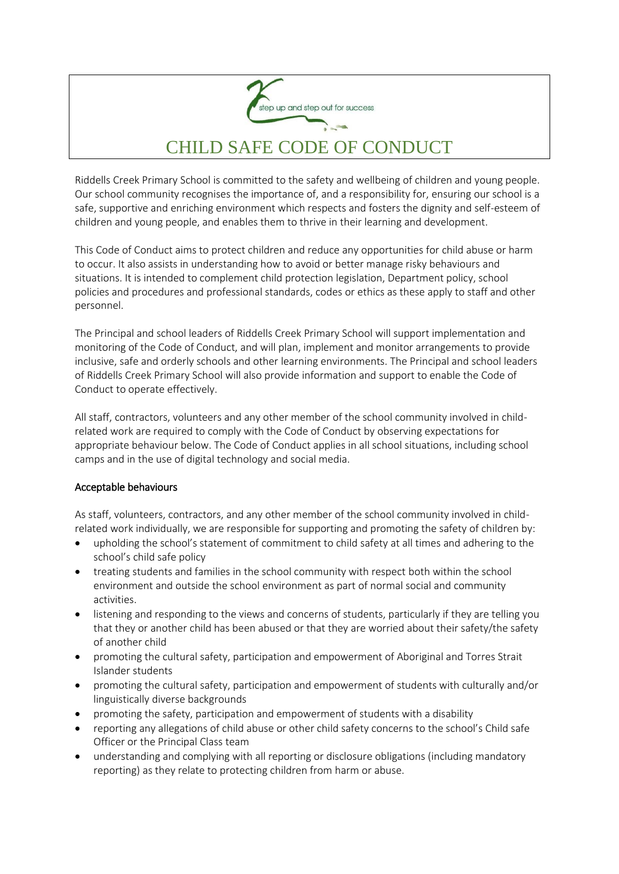

## CHILD SAFE CODE OF CONDUCT

Riddells Creek Primary School is committed to the safety and wellbeing of children and young people. Our school community recognises the importance of, and a responsibility for, ensuring our school is a safe, supportive and enriching environment which respects and fosters the dignity and self-esteem of children and young people, and enables them to thrive in their learning and development.

This Code of Conduct aims to protect children and reduce any opportunities for child abuse or harm to occur. It also assists in understanding how to avoid or better manage risky behaviours and situations. It is intended to complement child protection legislation, Department policy, school policies and procedures and professional standards, codes or ethics as these apply to staff and other personnel.

The Principal and school leaders of Riddells Creek Primary School will support implementation and monitoring of the Code of Conduct, and will plan, implement and monitor arrangements to provide inclusive, safe and orderly schools and other learning environments. The Principal and school leaders of Riddells Creek Primary School will also provide information and support to enable the Code of Conduct to operate effectively.

All staff, contractors, volunteers and any other member of the school community involved in childrelated work are required to comply with the Code of Conduct by observing expectations for appropriate behaviour below. The Code of Conduct applies in all school situations, including school camps and in the use of digital technology and social media.

## Acceptable behaviours

As staff, volunteers, contractors, and any other member of the school community involved in childrelated work individually, we are responsible for supporting and promoting the safety of children by:

- upholding the school's statement of commitment to child safety at all times and adhering to the school's child safe policy
- treating students and families in the school community with respect both within the school environment and outside the school environment as part of normal social and community activities.
- listening and responding to the views and concerns of students, particularly if they are telling you that they or another child has been abused or that they are worried about their safety/the safety of another child
- promoting the cultural safety, participation and empowerment of Aboriginal and Torres Strait Islander students
- promoting the cultural safety, participation and empowerment of students with culturally and/or linguistically diverse backgrounds
- promoting the safety, participation and empowerment of students with a disability
- reporting any allegations of child abuse or other child safety concerns to the school's Child safe Officer or the Principal Class team
- understanding and complying with all reporting or disclosure obligations (including mandatory reporting) as they relate to protecting children from harm or abuse.